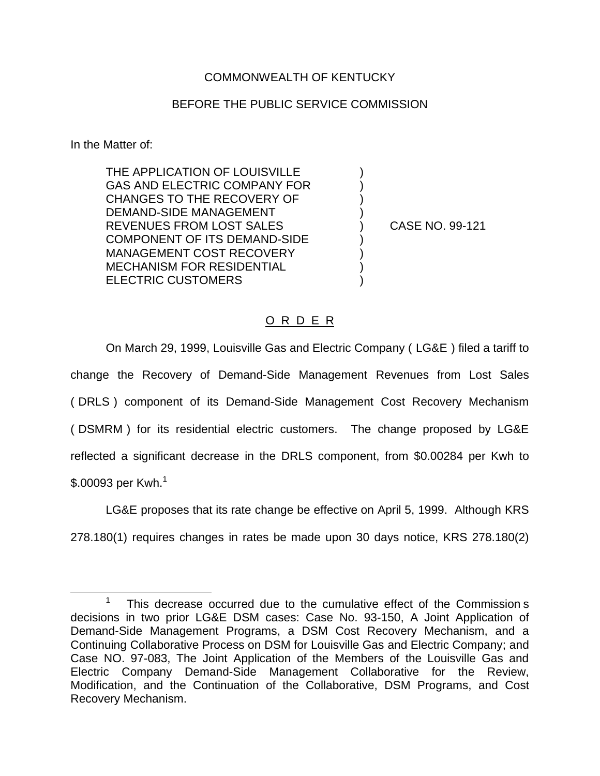## COMMONWEALTH OF KENTUCKY

## BEFORE THE PUBLIC SERVICE COMMISSION

) ) ) )

) ) ) )

In the Matter of:

THE APPLICATION OF LOUISVILLE GAS AND ELECTRIC COMPANY FOR CHANGES TO THE RECOVERY OF DEMAND-SIDE MANAGEMENT REVENUES FROM LOST SALES COMPONENT OF ITS DEMAND-SIDE MANAGEMENT COST RECOVERY MECHANISM FOR RESIDENTIAL ELECTRIC CUSTOMERS

) CASE NO. 99-121

## O R D E R

On March 29, 1999, Louisville Gas and Electric Company ( LG&E ) filed a tariff to change the Recovery of Demand-Side Management Revenues from Lost Sales ( DRLS ) component of its Demand-Side Management Cost Recovery Mechanism ( DSMRM ) for its residential electric customers. The change proposed by LG&E reflected a significant decrease in the DRLS component, from \$0.00284 per Kwh to  $$.00093$  per Kwh.<sup>1</sup>

LG&E proposes that its rate change be effective on April 5, 1999. Although KRS 278.180(1) requires changes in rates be made upon 30 days notice, KRS 278.180(2)

<sup>1</sup> This decrease occurred due to the cumulative effect of the Commission s decisions in two prior LG&E DSM cases: Case No. 93-150, A Joint Application of Demand-Side Management Programs, a DSM Cost Recovery Mechanism, and a Continuing Collaborative Process on DSM for Louisville Gas and Electric Company; and Case NO. 97-083, The Joint Application of the Members of the Louisville Gas and Electric Company Demand-Side Management Collaborative for the Review, Modification, and the Continuation of the Collaborative, DSM Programs, and Cost Recovery Mechanism.